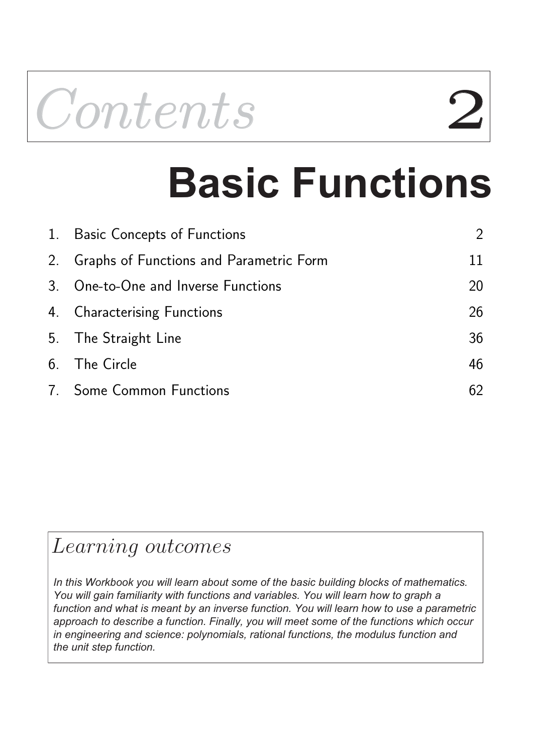

# **Basic Functions**

| 1. Basic Concepts of Functions             | $\mathcal{P}$ |
|--------------------------------------------|---------------|
| 2. Graphs of Functions and Parametric Form | 11            |
| 3. One-to-One and Inverse Functions        | 20            |
| 4. Characterising Functions                | 26            |
| 5. The Straight Line                       | 36            |
| 6. The Circle                              | 46            |
| 7. Some Common Functions                   | 62            |

## Learning outcomes

*In this Workbook you will learn about some of the basic building blocks of mathematics. You will gain familiarity with functions and variables. You will learn how to graph a function and what is meant by an inverse function. You will learn how to use a parametric approach to describe a function. Finally, you will meet some of the functions which occur in engineering and science: polynomials, rational functions, the modulus function and the unit step function.*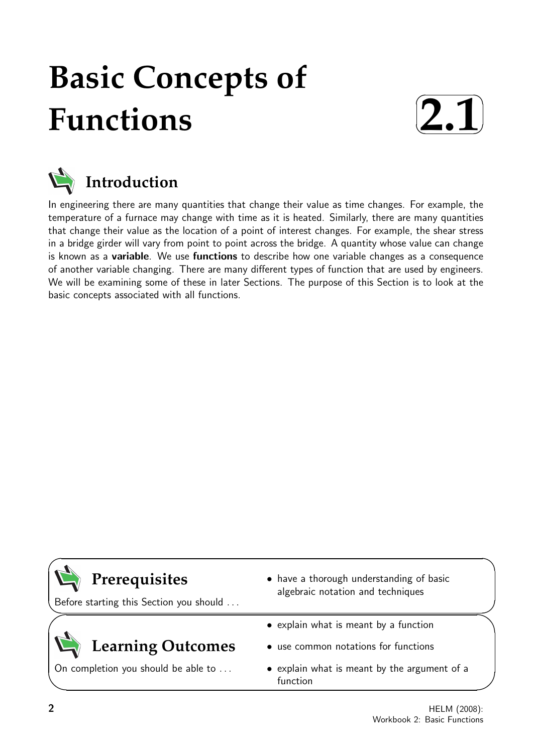## **Basic Concepts of Functions**





In engineering there are many quantities that change their value as time changes. For example, the temperature of a furnace may change with time as it is heated. Similarly, there are many quantities that change their value as the location of a point of interest changes. For example, the shear stress in a bridge girder will vary from point to point across the bridge. A quantity whose value can change is known as a variable. We use functions to describe how one variable changes as a consequence of another variable changing. There are many different types of function that are used by engineers. We will be examining some of these in later Sections. The purpose of this Section is to look at the basic concepts associated with all functions.



Before starting this Section you should . . .

## **Learning Outcomes**

On completion you should be able to ...

- have a thorough understanding of basic algebraic notation and techniques
- explain what is meant by a function
- use common notations for functions
- explain what is meant by the argument of a function

 $\overline{\phantom{0}}$ 

 $\searrow$ 

 $\geq$ 

 $\overline{\phantom{0}}$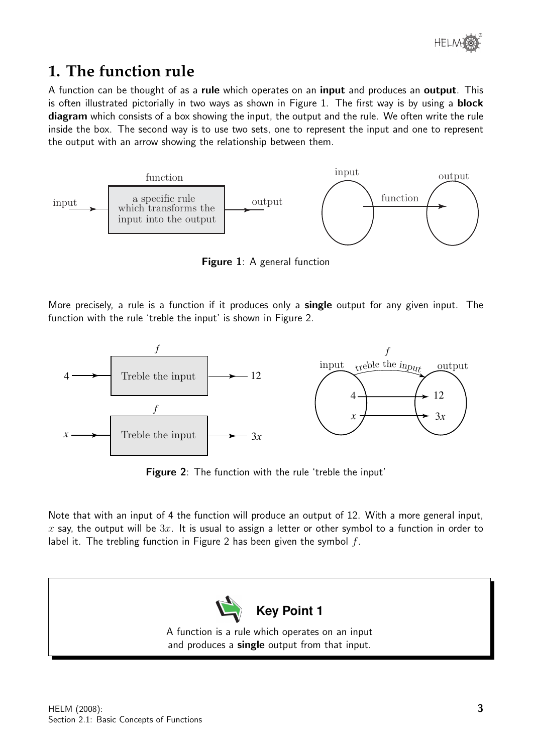

## **1. The function rule**

A function can be thought of as a rule which operates on an input and produces an output. This is often illustrated pictorially in two ways as shown in Figure 1. The first way is by using a **block** diagram which consists of a box showing the input, the output and the rule. We often write the rule inside the box. The second way is to use two sets, one to represent the input and one to represent the output with an arrow showing the relationship between them.



Figure 1: A general function

More precisely, a rule is a function if it produces only a **single** output for any given input. The function with the rule 'treble the input' is shown in Figure 2.



**Figure 2:** The function with the rule 'treble the input'

Note that with an input of 4 the function will produce an output of 12. With a more general input, x say, the output will be  $3x$ . It is usual to assign a letter or other symbol to a function in order to label it. The trebling function in Figure 2 has been given the symbol  $f$ .

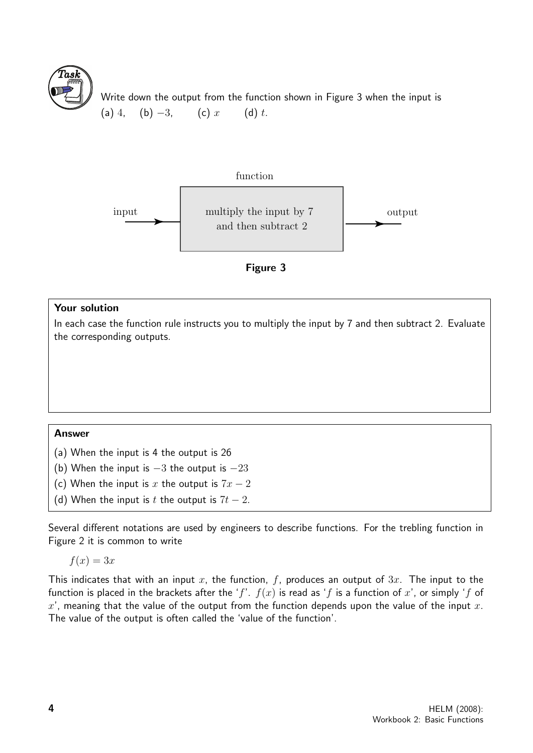![](_page_3_Picture_0.jpeg)

Write down the output from the function shown in Figure 3 when the input is (a) 4, (b)  $-3$ , (c) x (d) t.

![](_page_3_Figure_2.jpeg)

#### Your solution

In each case the function rule instructs you to multiply the input by 7 and then subtract 2. Evaluate the corresponding outputs.

#### Answer

(a) When the input is 4 the output is 26

- (b) When the input is  $-3$  the output is  $-23$
- (c) When the input is x the output is  $7x 2$
- (d) When the input is t the output is  $7t 2$ .

Several different notations are used by engineers to describe functions. For the trebling function in Figure 2 it is common to write

 $f(x) = 3x$ 

This indicates that with an input x, the function, f, produces an output of  $3x$ . The input to the function is placed in the brackets after the 'f'.  $f(x)$  is read as 'f is a function of x', or simply 'f of  $x'$ , meaning that the value of the output from the function depends upon the value of the input  $x$ . The value of the output is often called the 'value of the function'.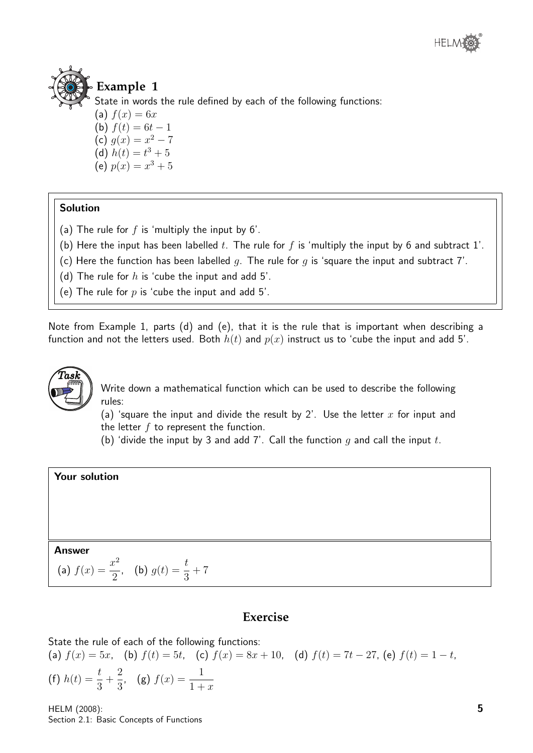![](_page_4_Picture_0.jpeg)

![](_page_4_Picture_1.jpeg)

#### **Example 1**

State in words the rule defined by each of the following functions:

(a)  $f(x) = 6x$ (b)  $f(t) = 6t - 1$ (c)  $g(x) = x^2 - 7$ (d)  $h(t) = t^3 + 5$ (e)  $p(x) = x^3 + 5$ 

#### **Solution**

- (a) The rule for  $f$  is 'multiply the input by  $6'$ .
- (b) Here the input has been labelled t. The rule for f is 'multiply the input by 6 and subtract 1'.
- (c) Here the function has been labelled q. The rule for q is 'square the input and subtract 7'.

(d) The rule for  $h$  is 'cube the input and add 5'.

(e) The rule for  $p$  is 'cube the input and add 5'.

Note from Example 1, parts (d) and (e), that it is the rule that is important when describing a function and not the letters used. Both  $h(t)$  and  $p(x)$  instruct us to 'cube the input and add 5'.

![](_page_4_Picture_12.jpeg)

Write down a mathematical function which can be used to describe the following rules:

(a) 'square the input and divide the result by 2'. Use the letter  $x$  for input and the letter  $f$  to represent the function.

(b) 'divide the input by 3 and add 7'. Call the function  $q$  and call the input  $t$ .

#### Your solution

#### Answer

(a) 
$$
f(x) = \frac{x^2}{2}
$$
, (b)  $g(t) = \frac{t}{3} + 7$ 

#### **Exercise**

State the rule of each of the following functions:

(a) 
$$
f(x) = 5x
$$
, (b)  $f(t) = 5t$ , (c)  $f(x) = 8x + 10$ , (d)  $f(t) = 7t - 27$ , (e)  $f(t) = 1 - t$ ,  
(f)  $h(t) = \frac{t}{3} + \frac{2}{3}$ , (g)  $f(x) = \frac{1}{1+x}$ 

HELM (2008): Section 2.1: Basic Concepts of Functions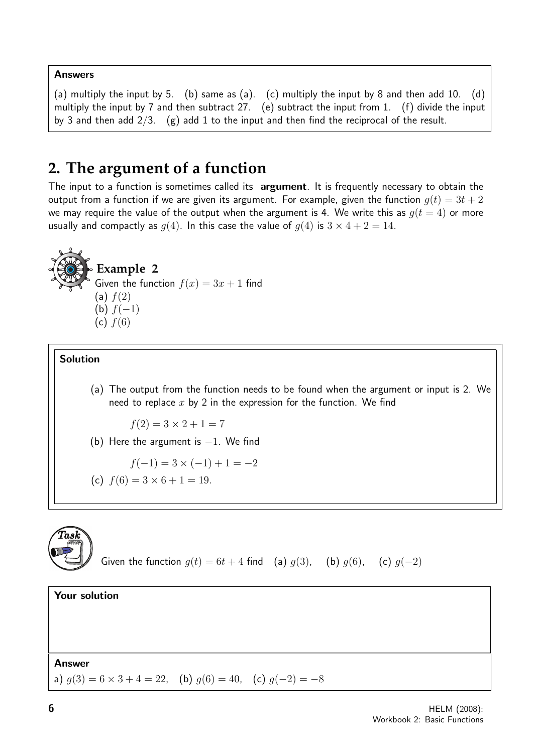#### Answers

(a) multiply the input by 5. (b) same as (a). (c) multiply the input by 8 and then add 10. (d) multiply the input by 7 and then subtract 27. (e) subtract the input from 1. (f) divide the input by 3 and then add  $2/3$ . (g) add 1 to the input and then find the reciprocal of the result.

## **2. The argument of a function**

The input to a function is sometimes called its argument. It is frequently necessary to obtain the output from a function if we are given its argument. For example, given the function  $q(t) = 3t + 2$ we may require the value of the output when the argument is 4. We write this as  $q(t = 4)$  or more usually and compactly as  $g(4)$ . In this case the value of  $g(4)$  is  $3 \times 4 + 2 = 14$ .

![](_page_5_Picture_4.jpeg)

#### Solution

(a) The output from the function needs to be found when the argument or input is 2. We need to replace  $x$  by 2 in the expression for the function. We find

$$
f(2) = 3 \times 2 + 1 = 7
$$

(b) Here the argument is  $-1$ . We find

$$
f(-1) = 3 \times (-1) + 1 = -2
$$

(c) 
$$
f(6) = 3 \times 6 + 1 = 19
$$
.

![](_page_5_Picture_11.jpeg)

```
Given the function g(t) = 6t + 4 find (a) g(3), (b) g(6), (c) g(-2)
```
Your solution

#### **Answer**

a)  $g(3) = 6 \times 3 + 4 = 22$ , (b)  $g(6) = 40$ , (c)  $g(-2) = -8$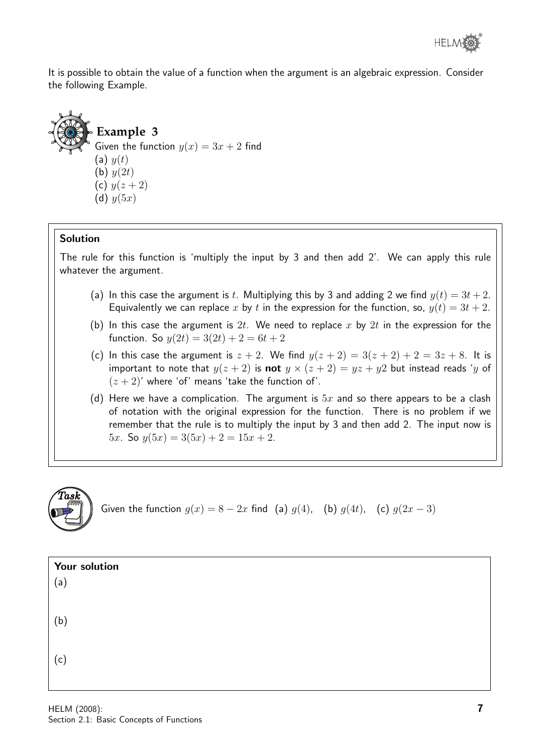It is possible to obtain the value of a function when the argument is an algebraic expression. Consider the following Example.

![](_page_6_Picture_2.jpeg)

#### Solution

The rule for this function is 'multiply the input by 3 and then add 2'. We can apply this rule whatever the argument.

- (a) In this case the argument is t. Multiplying this by 3 and adding 2 we find  $y(t) = 3t + 2$ . Equivalently we can replace x by t in the expression for the function, so,  $y(t) = 3t + 2$ .
- (b) In this case the argument is 2t. We need to replace x by 2t in the expression for the function. So  $y(2t) = 3(2t) + 2 = 6t + 2$
- (c) In this case the argument is  $z + 2$ . We find  $y(z + 2) = 3(z + 2) + 2 = 3z + 8$ . It is important to note that  $y(z + 2)$  is **not**  $y \times (z + 2) = yz + y2$  but instead reads 'y of  $(z + 2)$ ' where 'of' means 'take the function of'.
- (d) Here we have a complication. The argument is  $5x$  and so there appears to be a clash of notation with the original expression for the function. There is no problem if we remember that the rule is to multiply the input by 3 and then add 2. The input now is 5x. So  $y(5x) = 3(5x) + 2 = 15x + 2$ .

![](_page_6_Picture_9.jpeg)

Given the function  $g(x) = 8 - 2x$  find (a)  $g(4)$ , (b)  $g(4t)$ , (c)  $g(2x - 3)$ 

| Your solution |  |  |  |
|---------------|--|--|--|
| (a)           |  |  |  |
|               |  |  |  |
| (b)           |  |  |  |
|               |  |  |  |
| (c)           |  |  |  |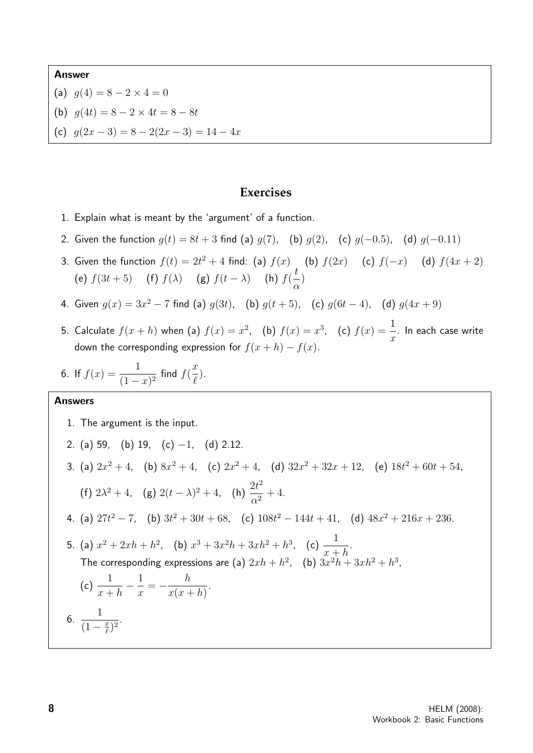#### Answer

- (a)  $g(4) = 8 2 \times 4 = 0$
- (b)  $g(4t) = 8 2 \times 4t = 8 8t$
- (c)  $g(2x-3) = 8 2(2x 3) = 14 4x$

#### **Exercises**

- 1. Explain what is meant by the 'argument' of a function.
- 2. Given the function  $g(t) = 8t + 3$  find (a)  $g(7)$ , (b)  $g(2)$ , (c)  $g(-0.5)$ , (d)  $g(-0.11)$
- 3. Given the function  $f(t) = 2t^2 + 4$  find: (a)  $f(x)$  (b)  $f(2x)$  (c)  $f(-x)$  (d)  $f(4x + 2)$ (e)  $f(3t + 5)$  (f)  $f(\lambda)$  (g)  $f(t - \lambda)$  (h)  $f(\frac{t}{\lambda})$ α )
- 4. Given  $g(x) = 3x^2 7$  find (a)  $g(3t)$ , (b)  $g(t+5)$ , (c)  $g(6t-4)$ , (d)  $g(4x+9)$
- 5. Calculate  $f(x+h)$  when (a)  $f(x)=x^2$ , (b)  $f(x)=x^3$ , (c)  $f(x)=\frac{1}{x}$  $\overline{x}$ . In each case write down the corresponding expression for  $f(x+h) - f(x)$ .
- 6. If  $f(x) = \frac{1}{1}$  $\frac{1}{(1-x)^2}$  find  $f(x)$  $\boldsymbol{x}$  $\ell$ ).

#### Answers

1. The argument is the input.

2. (a) 59, (b) 19, (c) -1, (d) 2.12.  
\n3. (a) 
$$
2x^2 + 4
$$
, (b)  $8x^2 + 4$ , (c)  $2x^2 + 4$ , (d)  $32x^2 + 32x + 12$ , (e)  $18t^2 + 60t + 54$ ,  
\n(f)  $2\lambda^2 + 4$ , (g)  $2(t - \lambda)^2 + 4$ , (h)  $\frac{2t^2}{\alpha^2} + 4$ .  
\n4. (a)  $27t^2 - 7$ , (b)  $3t^2 + 30t + 68$ , (c)  $108t^2 - 144t + 41$ , (d)  $48x^2 + 216x + 236$ .  
\n5. (a)  $x^2 + 2xh + h^2$ , (b)  $x^3 + 3x^2h + 3xh^2 + h^3$ , (c)  $\frac{1}{x + h}$ .  
\nThe corresponding expressions are (a)  $2xh + h^2$ , (b)  $3x^2h + 3xh^2 + h^3$ ,  
\n(c)  $\frac{1}{x + h} - \frac{1}{x} = -\frac{h}{x(x + h)}$ .  
\n6.  $\frac{1}{(1 - \frac{x}{\ell})^2}$ .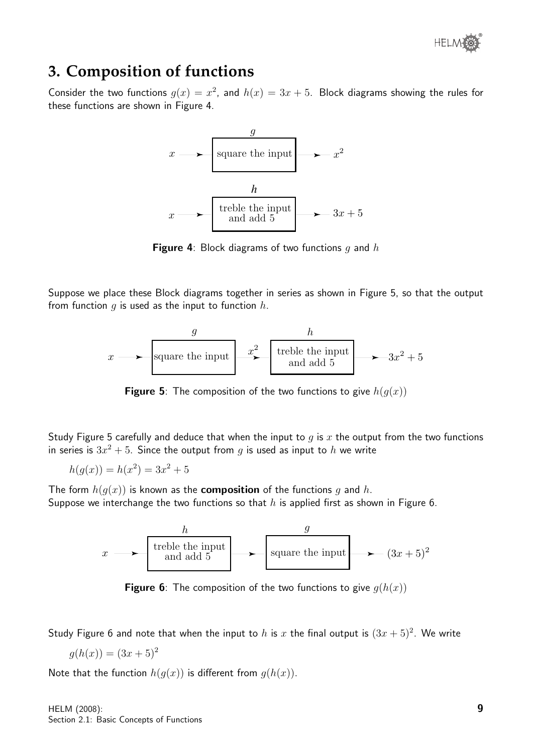![](_page_8_Picture_0.jpeg)

### **3. Composition of functions**

Consider the two functions  $g(x) = x^2$ , and  $h(x) = 3x + 5$ . Block diagrams showing the rules for these functions are shown in Figure 4.

![](_page_8_Figure_3.jpeg)

**Figure 4:** Block diagrams of two functions q and h

Suppose we place these Block diagrams together in series as shown in Figure 5, so that the output from function  $q$  is used as the input to function  $h$ .

![](_page_8_Figure_6.jpeg)

**Figure 5**: The composition of the two functions to give  $h(q(x))$ 

Study Figure 5 carefully and deduce that when the input to q is x the output from the two functions in series is  $3x^2 + 5$ . Since the output from  $g$  is used as input to  $h$  we write

$$
h(g(x)) = h(x^2) = 3x^2 + 5
$$

The form  $h(q(x))$  is known as the **composition** of the functions q and h. Suppose we interchange the two functions so that  $h$  is applied first as shown in Figure 6.

![](_page_8_Figure_11.jpeg)

**Figure 6**: The composition of the two functions to give  $g(h(x))$ 

Study Figure 6 and note that when the input to h is x the final output is  $(3x+5)^2$ . We write

$$
g(h(x)) = (3x+5)^2
$$

Note that the function  $h(q(x))$  is different from  $q(h(x))$ .